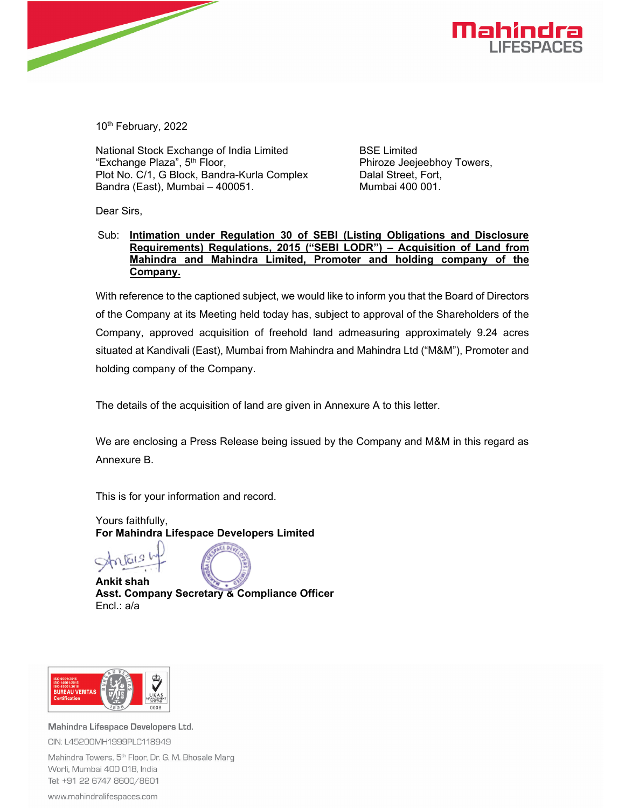

10th February, 2022

National Stock Exchange of India Limited "Exchange Plaza", 5<sup>th</sup> Floor, Plot No. C/1, G Block, Bandra-Kurla Complex Bandra (East), Mumbai – 400051.

BSE Limited Phiroze Jeejeebhoy Towers, Dalal Street, Fort, Mumbai 400 001.

Dear Sirs,

#### Sub: **Intimation under Regulation 30 of SEBI (Listing Obligations and Disclosure Requirements) Regulations, 2015 ("SEBI LODR") – Acquisition of Land from Mahindra and Mahindra Limited, Promoter and holding company of the Company.**

With reference to the captioned subject, we would like to inform you that the Board of Directors of the Company at its Meeting held today has, subject to approval of the Shareholders of the Company, approved acquisition of freehold land admeasuring approximately 9.24 acres situated at Kandivali (East), Mumbai from Mahindra and Mahindra Ltd ("M&M"), Promoter and holding company of the Company.

The details of the acquisition of land are given in Annexure A to this letter.

We are enclosing a Press Release being issued by the Company and M&M in this regard as Annexure B.

This is for your information and record.

Yours faithfully, **For Mahindra Lifespace Developers Limited** 

**Ankit shah Asst. Company Secretary & Compliance Officer**  Encl.: a/a



Mahindra Lifespace Developers Ltd. CIN: L45200MH1999PLC118949 Mahindra Towers, 5<sup>th</sup> Floor, Dr. G. M. Bhosale Marg

Worli, Mumbai 400 018, India Tel: +91 22 6747 8600/8601

www.mahindralifespaces.com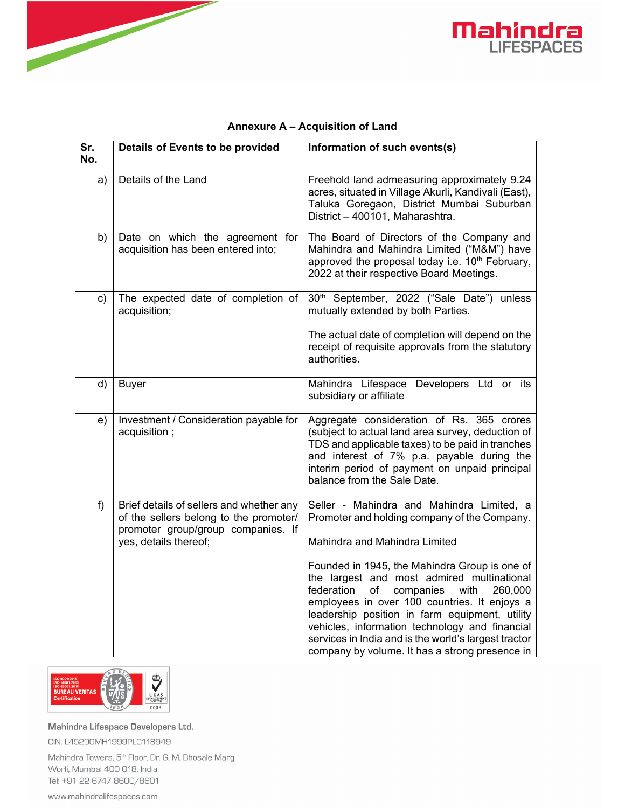



| Sr.<br>No. | Details of Events to be provided                                                                                                                  | Information of such events(s)                                                                                                                                                                                                                                                                                                                                                                                                                                                                                                               |
|------------|---------------------------------------------------------------------------------------------------------------------------------------------------|---------------------------------------------------------------------------------------------------------------------------------------------------------------------------------------------------------------------------------------------------------------------------------------------------------------------------------------------------------------------------------------------------------------------------------------------------------------------------------------------------------------------------------------------|
| a)         | Details of the Land                                                                                                                               | Freehold land admeasuring approximately 9.24<br>acres, situated in Village Akurli, Kandivali (East),<br>Taluka Goregaon, District Mumbai Suburban<br>District - 400101, Maharashtra.                                                                                                                                                                                                                                                                                                                                                        |
| b)         | Date on which the agreement for<br>acquisition has been entered into;                                                                             | The Board of Directors of the Company and<br>Mahindra and Mahindra Limited ("M&M") have<br>approved the proposal today i.e. 10 <sup>th</sup> February,<br>2022 at their respective Board Meetings.                                                                                                                                                                                                                                                                                                                                          |
| c)         | The expected date of completion of<br>acquisition;                                                                                                | 30 <sup>th</sup> September, 2022 ("Sale Date") unless<br>mutually extended by both Parties.<br>The actual date of completion will depend on the<br>receipt of requisite approvals from the statutory<br>authorities.                                                                                                                                                                                                                                                                                                                        |
| d)         | <b>Buyer</b>                                                                                                                                      | Mahindra Lifespace Developers Ltd or its<br>subsidiary or affiliate                                                                                                                                                                                                                                                                                                                                                                                                                                                                         |
| e)         | Investment / Consideration payable for<br>acquisition;                                                                                            | Aggregate consideration of Rs. 365 crores<br>(subject to actual land area survey, deduction of<br>TDS and applicable taxes) to be paid in tranches<br>and interest of 7% p.a. payable during the<br>interim period of payment on unpaid principal<br>balance from the Sale Date.                                                                                                                                                                                                                                                            |
| $f$ )      | Brief details of sellers and whether any<br>of the sellers belong to the promoter/<br>promoter group/group companies. If<br>yes, details thereof; | Seller - Mahindra and Mahindra Limited, a<br>Promoter and holding company of the Company.<br>Mahindra and Mahindra Limited<br>Founded in 1945, the Mahindra Group is one of<br>the largest and most admired multinational<br>federation<br>companies<br>of<br>with<br>260,000<br>employees in over 100 countries. It enjoys a<br>leadership position in farm equipment, utility<br>vehicles, information technology and financial<br>services in India and is the world's largest tractor<br>company by volume. It has a strong presence in |

### **Annexure A – Acquisition of Land**



Mahindra Lifespace Developers Ltd. CIN: L45200MH1999PLC118949

Mahindra Towers, 5<sup>th</sup> Floor, Dr. G. M. Bhosale Marg Worli, Mumbai 400 018, India Tel: +91 22 6747 8600/8601

www.mahindralifespaces.com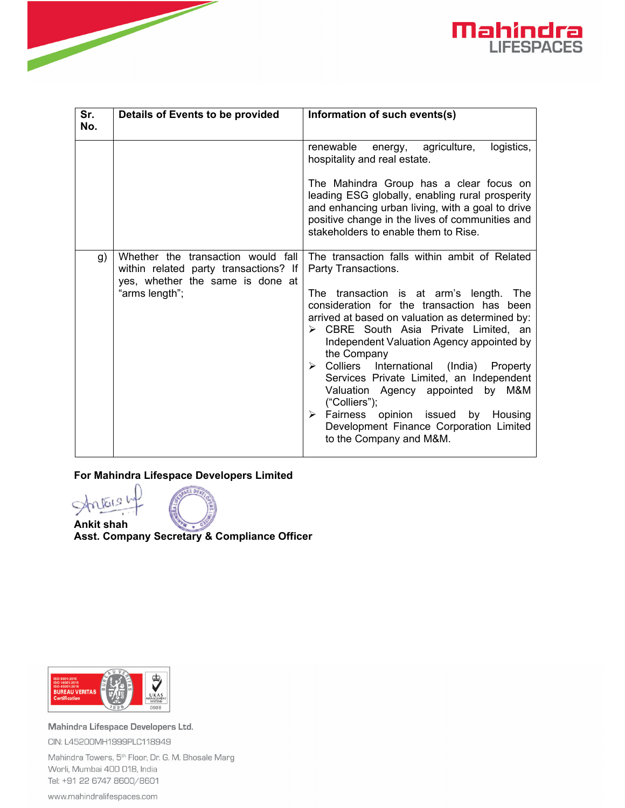

| Sr.<br>No. | Details of Events to be provided                                                                                                  | Information of such events(s)                                                                                                                                                                                                                                                                                                                                                                                                                                                                                                                                                                                                         |
|------------|-----------------------------------------------------------------------------------------------------------------------------------|---------------------------------------------------------------------------------------------------------------------------------------------------------------------------------------------------------------------------------------------------------------------------------------------------------------------------------------------------------------------------------------------------------------------------------------------------------------------------------------------------------------------------------------------------------------------------------------------------------------------------------------|
|            |                                                                                                                                   | renewable<br>energy, agriculture,<br>logistics,<br>hospitality and real estate.<br>The Mahindra Group has a clear focus on<br>leading ESG globally, enabling rural prosperity<br>and enhancing urban living, with a goal to drive<br>positive change in the lives of communities and<br>stakeholders to enable them to Rise.                                                                                                                                                                                                                                                                                                          |
| g)         | Whether the transaction would fall<br>within related party transactions? If<br>yes, whether the same is done at<br>"arms length"; | The transaction falls within ambit of Related<br>Party Transactions.<br>The transaction is at arm's length. The<br>consideration for the transaction has been<br>arrived at based on valuation as determined by:<br>$\triangleright$ CBRE South Asia Private Limited, an<br>Independent Valuation Agency appointed by<br>the Company<br>$\triangleright$ Colliers<br>International (India) Property<br>Services Private Limited, an Independent<br>Valuation Agency appointed by M&M<br>("Colliers");<br>$\triangleright$ Fairness opinion issued<br>by Housing<br>Development Finance Corporation Limited<br>to the Company and M&M. |

### **For Mahindra Lifespace Developers Limited**



**Ankit shah Asst. Company Secretary & Compliance Officer** 



Mahindra Lifespace Developers Ltd. CIN: L45200MH1999PLC118949

Mahindra Towers, 5<sup>th</sup> Floor, Dr. G. M. Bhosale Marg Worli, Mumbai 400 018, India Tel: +91 22 6747 8600/8601

www.mahindralifespaces.com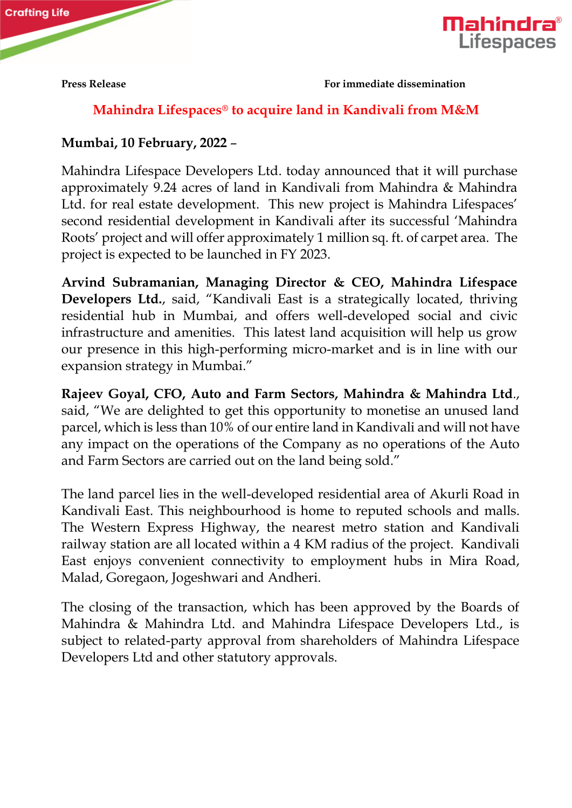



**Press Release For immediate dissemination** 

# **Mahindra Lifespaces® to acquire land in Kandivali from M&M**

## **Mumbai, 10 February, 2022** –

Mahindra Lifespace Developers Ltd. today announced that it will purchase approximately 9.24 acres of land in Kandivali from Mahindra & Mahindra Ltd. for real estate development. This new project is Mahindra Lifespaces' second residential development in Kandivali after its successful 'Mahindra Roots' project and will offer approximately 1 million sq. ft. of carpet area. The project is expected to be launched in FY 2023.

**Arvind Subramanian, Managing Director & CEO, Mahindra Lifespace Developers Ltd.**, said, "Kandivali East is a strategically located, thriving residential hub in Mumbai, and offers well-developed social and civic infrastructure and amenities. This latest land acquisition will help us grow our presence in this high-performing micro-market and is in line with our expansion strategy in Mumbai."

**Rajeev Goyal, CFO, Auto and Farm Sectors, Mahindra & Mahindra Ltd**., said, "We are delighted to get this opportunity to monetise an unused land parcel, which is less than 10% of our entire land in Kandivali and will not have any impact on the operations of the Company as no operations of the Auto and Farm Sectors are carried out on the land being sold."

The land parcel lies in the well-developed residential area of Akurli Road in Kandivali East. This neighbourhood is home to reputed schools and malls. The Western Express Highway, the nearest metro station and Kandivali railway station are all located within a 4 KM radius of the project. Kandivali East enjoys convenient connectivity to employment hubs in Mira Road, Malad, Goregaon, Jogeshwari and Andheri.

The closing of the transaction, which has been approved by the Boards of Mahindra & Mahindra Ltd. and Mahindra Lifespace Developers Ltd., is subject to related-party approval from shareholders of Mahindra Lifespace Developers Ltd and other statutory approvals.